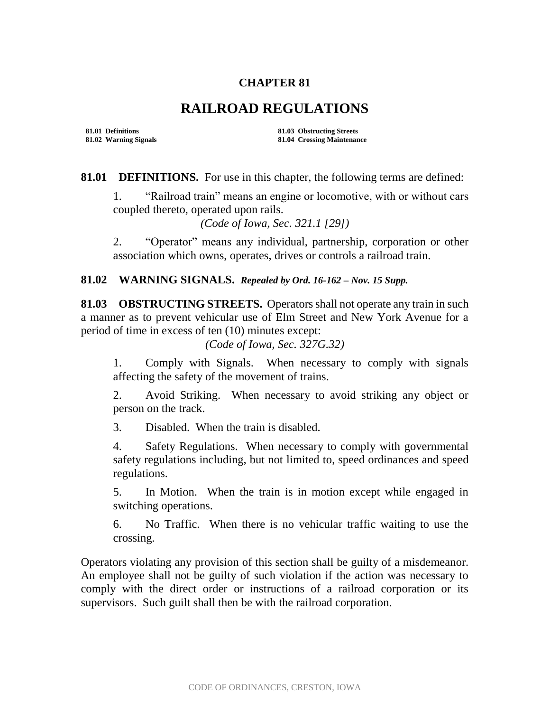## **CHAPTER 81**

## **RAILROAD REGULATIONS**

**81.01 Definitions 81.03 Obstructing Streets 81.02 Warning Signals 81.04 Crossing Maintenance**

**81.01 DEFINITIONS.** For use in this chapter, the following terms are defined:

1. "Railroad train" means an engine or locomotive, with or without cars coupled thereto, operated upon rails.

*(Code of Iowa, Sec. 321.1 [29])*

2. "Operator" means any individual, partnership, corporation or other association which owns, operates, drives or controls a railroad train.

## **81.02 WARNING SIGNALS.** *Repealed by Ord. 16-162 – Nov. 15 Supp.*

**81.03 OBSTRUCTING STREETS.** Operators shall not operate any train in such a manner as to prevent vehicular use of Elm Street and New York Avenue for a period of time in excess of ten (10) minutes except:

*(Code of Iowa, Sec. 327G.32)* 

1. Comply with Signals. When necessary to comply with signals affecting the safety of the movement of trains.

2. Avoid Striking. When necessary to avoid striking any object or person on the track.

3. Disabled. When the train is disabled.

4. Safety Regulations. When necessary to comply with governmental safety regulations including, but not limited to, speed ordinances and speed regulations.

5. In Motion. When the train is in motion except while engaged in switching operations.

6. No Traffic. When there is no vehicular traffic waiting to use the crossing.

Operators violating any provision of this section shall be guilty of a misdemeanor. An employee shall not be guilty of such violation if the action was necessary to comply with the direct order or instructions of a railroad corporation or its supervisors. Such guilt shall then be with the railroad corporation.